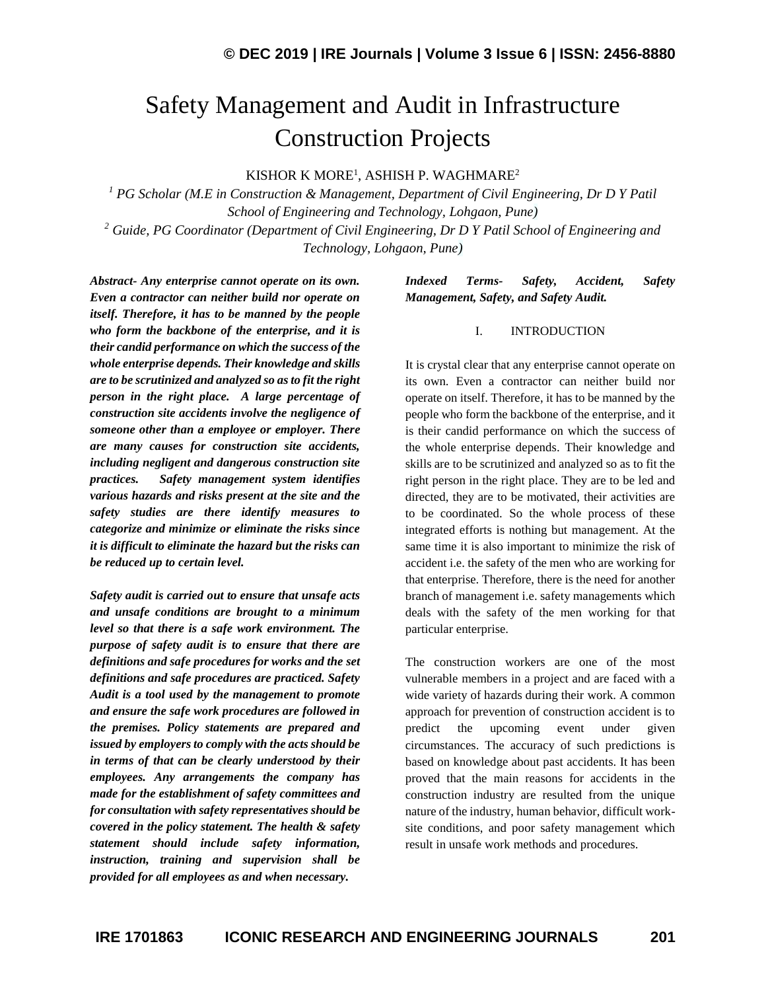# Safety Management and Audit in Infrastructure Construction Projects

KISHOR K MORE<sup>1</sup>, ASHISH P. WAGHMARE $^2$ 

*<sup>1</sup> PG Scholar (M.E in Construction & Management, Department of Civil Engineering, Dr D Y Patil School of Engineering and Technology, Lohgaon, Pune) <sup>2</sup> Guide, PG Coordinator (Department of Civil Engineering, Dr D Y Patil School of Engineering and Technology, Lohgaon, Pune)*

*Abstract- Any enterprise cannot operate on its own. Even a contractor can neither build nor operate on itself. Therefore, it has to be manned by the people who form the backbone of the enterprise, and it is their candid performance on which the success of the whole enterprise depends. Their knowledge and skills are to be scrutinized and analyzed so as to fit the right person in the right place. A large percentage of construction site accidents involve the negligence of someone other than a employee or employer. There are many causes for construction site accidents, including negligent and dangerous construction site practices. Safety management system identifies various hazards and risks present at the site and the safety studies are there identify measures to categorize and minimize or eliminate the risks since it is difficult to eliminate the hazard but the risks can be reduced up to certain level.*

*Safety audit is carried out to ensure that unsafe acts and unsafe conditions are brought to a minimum level so that there is a safe work environment. The purpose of safety audit is to ensure that there are definitions and safe procedures for works and the set definitions and safe procedures are practiced. Safety Audit is a tool used by the management to promote and ensure the safe work procedures are followed in the premises. Policy statements are prepared and issued by employers to comply with the acts should be in terms of that can be clearly understood by their employees. Any arrangements the company has made for the establishment of safety committees and for consultation with safety representatives should be covered in the policy statement. The health & safety statement should include safety information, instruction, training and supervision shall be provided for all employees as and when necessary.*

#### *Indexed Terms- Safety, Accident, Safety Management, Safety, and Safety Audit.*

#### I. INTRODUCTION

It is crystal clear that any enterprise cannot operate on its own. Even a contractor can neither build nor operate on itself. Therefore, it has to be manned by the people who form the backbone of the enterprise, and it is their candid performance on which the success of the whole enterprise depends. Their knowledge and skills are to be scrutinized and analyzed so as to fit the right person in the right place. They are to be led and directed, they are to be motivated, their activities are to be coordinated. So the whole process of these integrated efforts is nothing but management. At the same time it is also important to minimize the risk of accident i.e. the safety of the men who are working for that enterprise. Therefore, there is the need for another branch of management i.e. safety managements which deals with the safety of the men working for that particular enterprise.

The construction workers are one of the most vulnerable members in a project and are faced with a wide variety of hazards during their work. A common approach for prevention of construction accident is to predict the upcoming event under given circumstances. The accuracy of such predictions is based on knowledge about past accidents. It has been proved that the main reasons for accidents in the construction industry are resulted from the unique nature of the industry, human behavior, difficult worksite conditions, and poor safety management which result in unsafe work methods and procedures.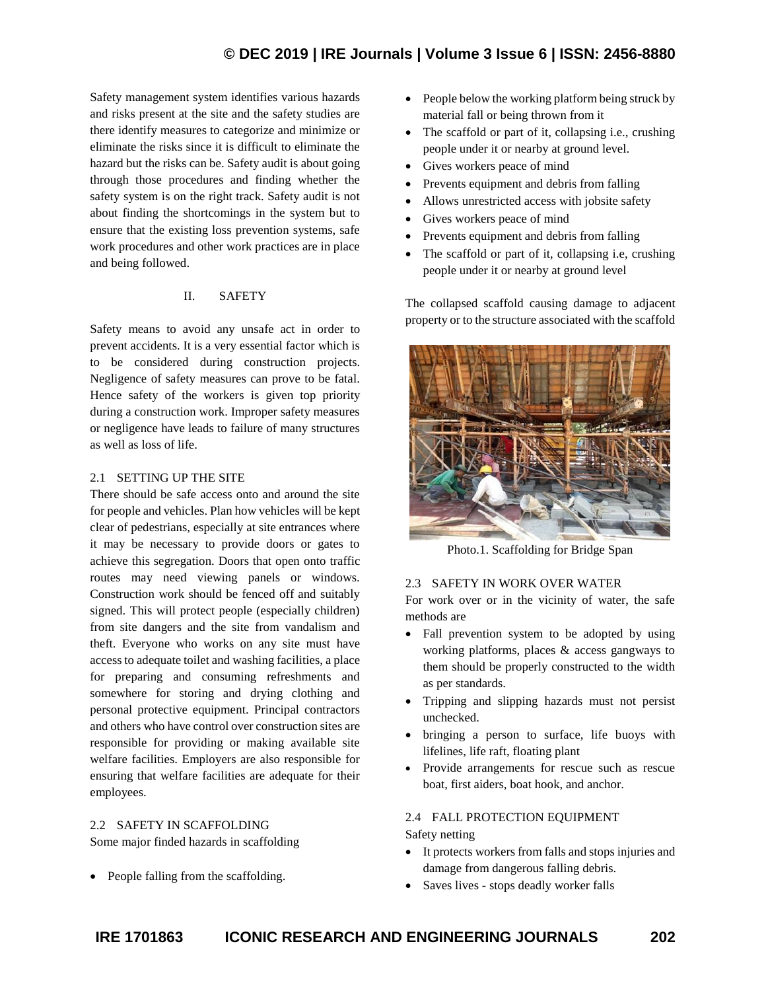## **© DEC 2019 | IRE Journals | Volume 3 Issue 6 | ISSN: 2456-8880**

Safety management system identifies various hazards and risks present at the site and the safety studies are there identify measures to categorize and minimize or eliminate the risks since it is difficult to eliminate the hazard but the risks can be. Safety audit is about going through those procedures and finding whether the safety system is on the right track. Safety audit is not about finding the shortcomings in the system but to ensure that the existing loss prevention systems, safe work procedures and other work practices are in place and being followed.

### II. SAFETY

Safety means to avoid any unsafe act in order to prevent accidents. It is a very essential factor which is to be considered during construction projects. Negligence of safety measures can prove to be fatal. Hence safety of the workers is given top priority during a construction work. Improper safety measures or negligence have leads to failure of many structures as well as loss of life.

#### 2.1 SETTING UP THE SITE

There should be safe access onto and around the site for people and vehicles. Plan how vehicles will be kept clear of pedestrians, especially at site entrances where it may be necessary to provide doors or gates to achieve this segregation. Doors that open onto traffic routes may need viewing panels or windows. Construction work should be fenced off and suitably signed. This will protect people (especially children) from site dangers and the site from vandalism and theft. Everyone who works on any site must have access to adequate toilet and washing facilities, a place for preparing and consuming refreshments and somewhere for storing and drying clothing and personal protective equipment. Principal contractors and others who have control over construction sites are responsible for providing or making available site welfare facilities. Employers are also responsible for ensuring that welfare facilities are adequate for their employees.

#### 2.2 SAFETY IN SCAFFOLDING

Some major finded hazards in scaffolding

• People falling from the scaffolding.

- People below the working platform being struck by material fall or being thrown from it
- The scaffold or part of it, collapsing i.e., crushing people under it or nearby at ground level.
- Gives workers peace of mind
- Prevents equipment and debris from falling
- Allows unrestricted access with jobsite safety
- Gives workers peace of mind
- Prevents equipment and debris from falling
- The scaffold or part of it, collapsing i.e, crushing people under it or nearby at ground level

The collapsed scaffold causing damage to adjacent property or to the structure associated with the scaffold



Photo.1. Scaffolding for Bridge Span

#### 2.3 SAFETY IN WORK OVER WATER

For work over or in the vicinity of water, the safe methods are

- Fall prevention system to be adopted by using working platforms, places  $\&$  access gangways to them should be properly constructed to the width as per standards.
- Tripping and slipping hazards must not persist unchecked.
- bringing a person to surface, life buoys with lifelines, life raft, floating plant
- Provide arrangements for rescue such as rescue boat, first aiders, boat hook, and anchor.

#### 2.4 FALL PROTECTION EQUIPMENT Safety netting

- It protects workers from falls and stops injuries and damage from dangerous falling debris.
- Saves lives stops deadly worker falls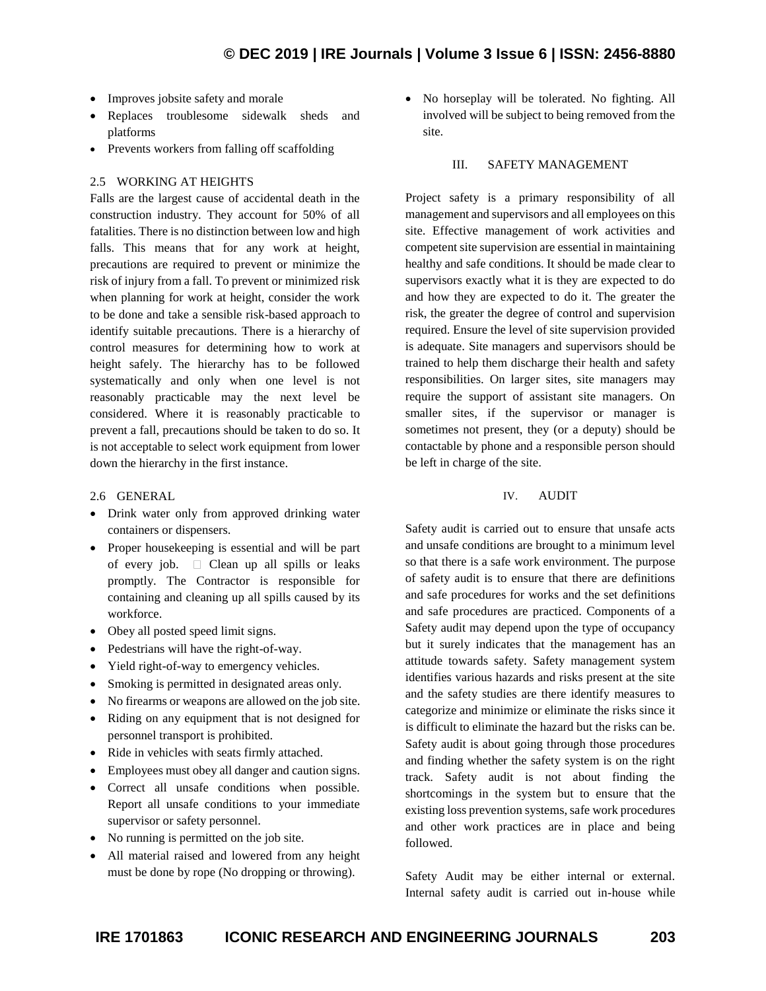- Improves jobsite safety and morale
- Replaces troublesome sidewalk sheds and platforms
- Prevents workers from falling off scaffolding

#### 2.5 WORKING AT HEIGHTS

Falls are the largest cause of accidental death in the construction industry. They account for 50% of all fatalities. There is no distinction between low and high falls. This means that for any work at height, precautions are required to prevent or minimize the risk of injury from a fall. To prevent or minimized risk when planning for work at height, consider the work to be done and take a sensible risk-based approach to identify suitable precautions. There is a hierarchy of control measures for determining how to work at height safely. The hierarchy has to be followed systematically and only when one level is not reasonably practicable may the next level be considered. Where it is reasonably practicable to prevent a fall, precautions should be taken to do so. It is not acceptable to select work equipment from lower down the hierarchy in the first instance.

#### 2.6 GENERAL

- Drink water only from approved drinking water containers or dispensers.
- Proper housekeeping is essential and will be part of every job.  $\Box$  Clean up all spills or leaks promptly. The Contractor is responsible for containing and cleaning up all spills caused by its workforce.
- Obey all posted speed limit signs.
- Pedestrians will have the right-of-way.
- Yield right-of-way to emergency vehicles.
- Smoking is permitted in designated areas only.
- No firearms or weapons are allowed on the job site.
- Riding on any equipment that is not designed for personnel transport is prohibited.
- Ride in vehicles with seats firmly attached.
- Employees must obey all danger and caution signs.
- Correct all unsafe conditions when possible. Report all unsafe conditions to your immediate supervisor or safety personnel.
- No running is permitted on the job site.
- All material raised and lowered from any height must be done by rope (No dropping or throwing).

• No horseplay will be tolerated. No fighting. All involved will be subject to being removed from the site.

#### III. SAFETY MANAGEMENT

Project safety is a primary responsibility of all management and supervisors and all employees on this site. Effective management of work activities and competent site supervision are essential in maintaining healthy and safe conditions. It should be made clear to supervisors exactly what it is they are expected to do and how they are expected to do it. The greater the risk, the greater the degree of control and supervision required. Ensure the level of site supervision provided is adequate. Site managers and supervisors should be trained to help them discharge their health and safety responsibilities. On larger sites, site managers may require the support of assistant site managers. On smaller sites, if the supervisor or manager is sometimes not present, they (or a deputy) should be contactable by phone and a responsible person should be left in charge of the site.

#### IV. AUDIT

Safety audit is carried out to ensure that unsafe acts and unsafe conditions are brought to a minimum level so that there is a safe work environment. The purpose of safety audit is to ensure that there are definitions and safe procedures for works and the set definitions and safe procedures are practiced. Components of a Safety audit may depend upon the type of occupancy but it surely indicates that the management has an attitude towards safety. Safety management system identifies various hazards and risks present at the site and the safety studies are there identify measures to categorize and minimize or eliminate the risks since it is difficult to eliminate the hazard but the risks can be. Safety audit is about going through those procedures and finding whether the safety system is on the right track. Safety audit is not about finding the shortcomings in the system but to ensure that the existing loss prevention systems, safe work procedures and other work practices are in place and being followed.

Safety Audit may be either internal or external. Internal safety audit is carried out in-house while